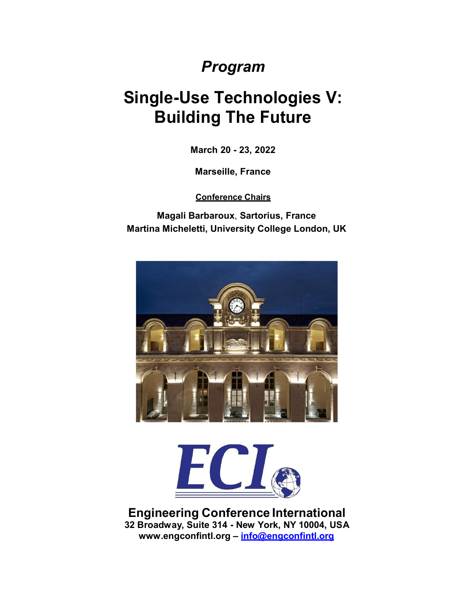## *Program*

# **Single-Use Technologies V: Building The Future**

**March 20 - 23, 2022**

**Marseille, France**

**Conference Chairs**

**Magali Barbaroux**, **Sartorius, France Martina Micheletti, University College London, UK**





**Engineering Conference International 32 Broadway, Suite 314 - New York, NY 10004, USA [www.engconfintl.org](http://www.engconfintl.org/) – [info@engconfintl.org](mailto:info@engconfintl.org)**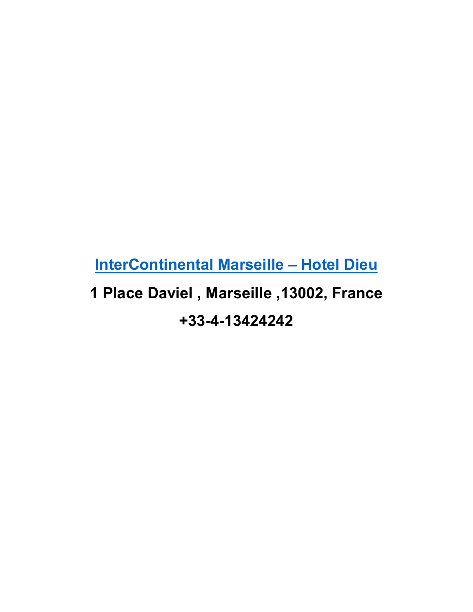**[InterContinental](https://www.ihg.com/intercontinental/hotels/gb/en/marseille/mrsha/hoteldetail?cm_mmc=GoogleMaps-_-IC-_-FR-_-MRSHA) Marseille – Hotel Dieu**

# **1 Place Daviel , Marseille ,13002, France +33-4-13424242**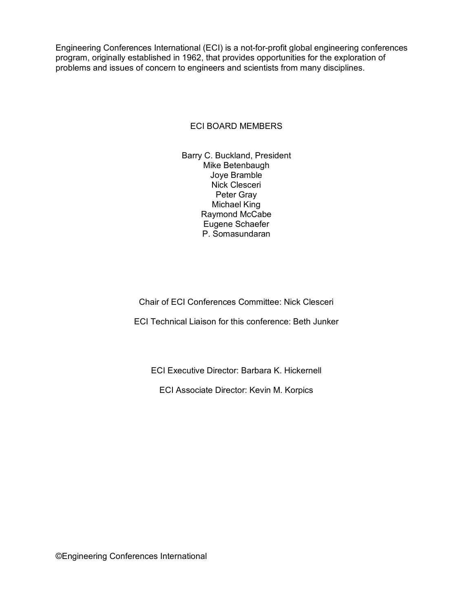Engineering Conferences International (ECI) is a not-for-profit global engineering conferences program, originally established in 1962, that provides opportunities for the exploration of problems and issues of concern to engineers and scientists from many disciplines.

### ECI BOARD MEMBERS

Barry C. Buckland, President Mike Betenbaugh Joye Bramble Nick Clesceri Peter Gray Michael King Raymond McCabe Eugene Schaefer P. Somasundaran

Chair of ECI Conferences Committee: Nick Clesceri

ECI Technical Liaison for this conference: Beth Junker

ECI Executive Director: Barbara K. Hickernell

ECI Associate Director: Kevin M. Korpics

©Engineering Conferences International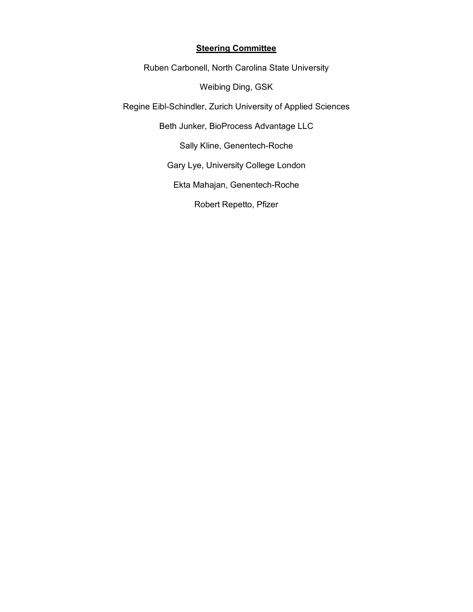### **Steering Committee**

Ruben Carbonell, North Carolina State University

Weibing Ding, GSK

Regine Eibl-Schindler, Zurich University of Applied Sciences

Beth Junker, BioProcess Advantage LLC

Sally Kline, Genentech-Roche

Gary Lye, University College London

Ekta Mahajan, Genentech-Roche

Robert Repetto, Pfizer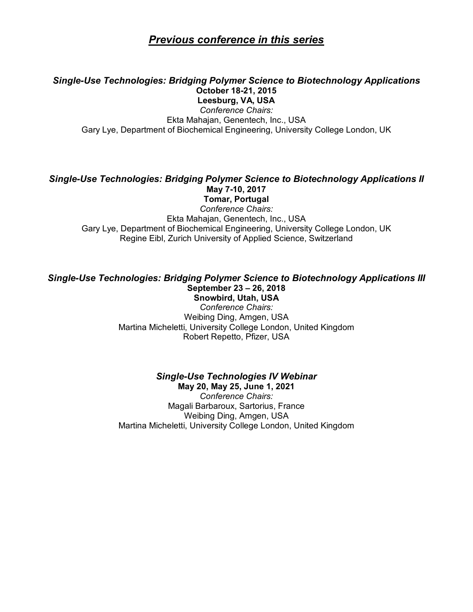### *Previous conference in this series*

### *Single-Use Technologies: Bridging Polymer Science to Biotechnology Applications* **October 18-21, 2015**

**Leesburg, VA, USA** *Conference Chairs:* Ekta Mahajan, Genentech, Inc., USA Gary Lye, Department of Biochemical Engineering, University College London, UK

### *Single-Use Technologies: Bridging Polymer Science to Biotechnology Applications II* **May 7-10, 2017**

**Tomar, Portugal** *Conference Chairs:* Ekta Mahajan, Genentech, Inc., USA Gary Lye, Department of Biochemical Engineering, University College London, UK Regine Eibl, Zurich University of Applied Science, Switzerland

#### *Single-Use Technologies: Bridging Polymer Science to Biotechnology Applications III* **September 23 – 26, 2018 Snowbird, Utah, USA**

*Conference Chairs:* Weibing Ding, Amgen, USA Martina Micheletti, University College London, United Kingdom Robert Repetto, Pfizer, USA

#### *Single-Use Technologies IV Webinar* **May 20, May 25, June 1, 2021**

*Conference Chairs:* Magali Barbaroux, Sartorius, France Weibing Ding, Amgen, USA Martina Micheletti, University College London, United Kingdom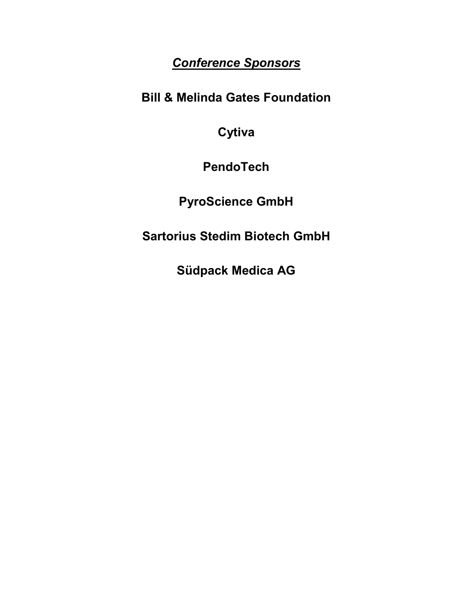### *Conference Sponsors*

**Bill & Melinda Gates Foundation**

**Cytiva** 

**PendoTech**

**PyroScience GmbH**

**Sartorius Stedim Biotech GmbH**

**Südpack Medica AG**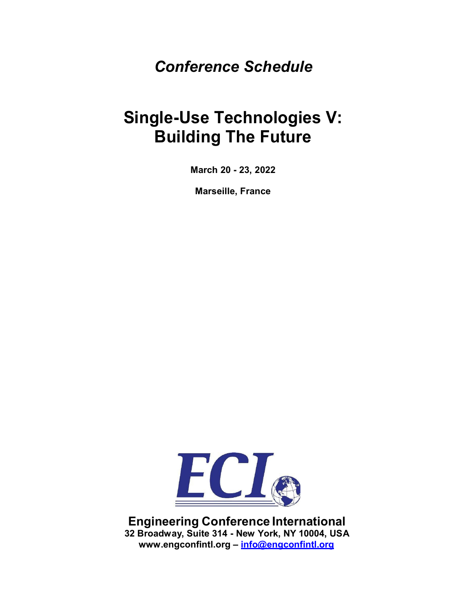## *Conference Schedule*

# **Single-Use Technologies V: Building The Future**

**March 20 - 23, 2022**

**Marseille, France**



**Engineering Conference International 32 Broadway, Suite 314 - New York, NY 10004, USA [www.engconfintl.org](http://www.engconfintl.org/) – [info@engconfintl.org](mailto:info@engconfintl.org)**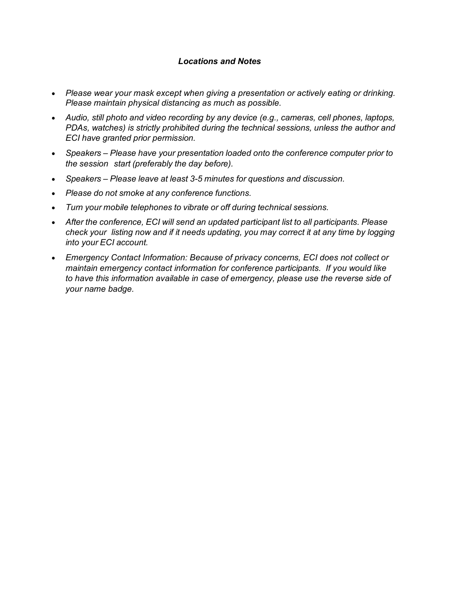### *Locations and Notes*

- *Please wear your mask except when giving a presentation or actively eating or drinking. Please maintain physical distancing as much as possible.*
- *Audio, still photo and video recording by any device (e.g., cameras, cell phones, laptops, PDAs, watches) is strictly prohibited during the technical sessions, unless the author and ECI have granted prior permission.*
- *Speakers – Please have your presentation loaded onto the conference computer prior to the session start (preferably the day before).*
- *Speakers – Please leave at least 3-5 minutes for questions and discussion.*
- *Please do not smoke at any conference functions.*
- *Turn your mobile telephones to vibrate or off during technical sessions.*
- *After the conference, ECI will send an updated participant list to all participants. Please check your listing now and if it needs updating, you may correct it at any time by logging into your ECI account.*
- *Emergency Contact Information: Because of privacy concerns, ECI does not collect or maintain emergency contact information for conference participants. If you would like to have this information available in case of emergency, please use the reverse side of your name badge.*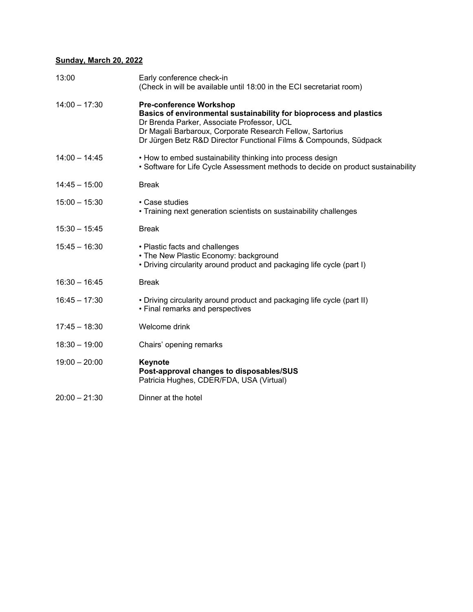### **Sunday, March 20, 2022**

| 13:00           | Early conference check-in<br>(Check in will be available until 18:00 in the ECI secretariat room)                                                                                                                                                                                    |
|-----------------|--------------------------------------------------------------------------------------------------------------------------------------------------------------------------------------------------------------------------------------------------------------------------------------|
| $14:00 - 17:30$ | <b>Pre-conference Workshop</b><br>Basics of environmental sustainability for bioprocess and plastics<br>Dr Brenda Parker, Associate Professor, UCL<br>Dr Magali Barbaroux, Corporate Research Fellow, Sartorius<br>Dr Jürgen Betz R&D Director Functional Films & Compounds, Südpack |
| $14:00 - 14:45$ | • How to embed sustainability thinking into process design<br>• Software for Life Cycle Assessment methods to decide on product sustainability                                                                                                                                       |
| $14:45 - 15:00$ | <b>Break</b>                                                                                                                                                                                                                                                                         |
| $15:00 - 15:30$ | • Case studies<br>• Training next generation scientists on sustainability challenges                                                                                                                                                                                                 |
| $15:30 - 15:45$ | <b>Break</b>                                                                                                                                                                                                                                                                         |
| $15:45 - 16:30$ | • Plastic facts and challenges<br>• The New Plastic Economy: background<br>. Driving circularity around product and packaging life cycle (part I)                                                                                                                                    |
| $16:30 - 16:45$ | <b>Break</b>                                                                                                                                                                                                                                                                         |
| $16:45 - 17:30$ | • Driving circularity around product and packaging life cycle (part II)<br>• Final remarks and perspectives                                                                                                                                                                          |
| $17:45 - 18:30$ | Welcome drink                                                                                                                                                                                                                                                                        |
| $18:30 - 19:00$ | Chairs' opening remarks                                                                                                                                                                                                                                                              |
| $19:00 - 20:00$ | Keynote<br>Post-approval changes to disposables/SUS<br>Patricia Hughes, CDER/FDA, USA (Virtual)                                                                                                                                                                                      |
| $20:00 - 21:30$ | Dinner at the hotel                                                                                                                                                                                                                                                                  |
|                 |                                                                                                                                                                                                                                                                                      |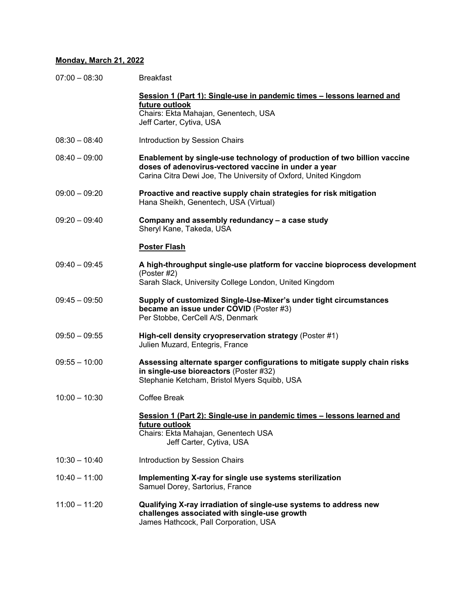### **Monday, March 21, 2022**

| $07:00 - 08:30$ | <b>Breakfast</b>                                                                                                                                                                                    |
|-----------------|-----------------------------------------------------------------------------------------------------------------------------------------------------------------------------------------------------|
|                 | Session 1 (Part 1): Single-use in pandemic times - lessons learned and<br>future outlook<br>Chairs: Ekta Mahajan, Genentech, USA<br>Jeff Carter, Cytiva, USA                                        |
| $08:30 - 08:40$ | Introduction by Session Chairs                                                                                                                                                                      |
| $08:40 - 09:00$ | Enablement by single-use technology of production of two billion vaccine<br>doses of adenovirus-vectored vaccine in under a year<br>Carina Citra Dewi Joe, The University of Oxford, United Kingdom |
| $09:00 - 09:20$ | Proactive and reactive supply chain strategies for risk mitigation<br>Hana Sheikh, Genentech, USA (Virtual)                                                                                         |
| $09:20 - 09:40$ | Company and assembly redundancy - a case study<br>Sheryl Kane, Takeda, USA                                                                                                                          |
|                 | <b>Poster Flash</b>                                                                                                                                                                                 |
| $09:40 - 09:45$ | A high-throughput single-use platform for vaccine bioprocess development<br>(Poster #2)<br>Sarah Slack, University College London, United Kingdom                                                   |
| $09:45 - 09:50$ | Supply of customized Single-Use-Mixer's under tight circumstances<br>became an issue under COVID (Poster #3)<br>Per Stobbe, CerCell A/S, Denmark                                                    |
| $09:50 - 09:55$ | High-cell density cryopreservation strategy (Poster #1)<br>Julien Muzard, Entegris, France                                                                                                          |
| $09:55 - 10:00$ | Assessing alternate sparger configurations to mitigate supply chain risks<br>in single-use bioreactors (Poster #32)<br>Stephanie Ketcham, Bristol Myers Squibb, USA                                 |
| $10:00 - 10:30$ | Coffee Break                                                                                                                                                                                        |
|                 | Session 1 (Part 2): Single-use in pandemic times - lessons learned and<br>future outlook<br>Chairs: Ekta Mahajan, Genentech USA<br>Jeff Carter, Cytiva, USA                                         |
| $10:30 - 10:40$ | Introduction by Session Chairs                                                                                                                                                                      |
| $10:40 - 11:00$ | Implementing X-ray for single use systems sterilization<br>Samuel Dorey, Sartorius, France                                                                                                          |
| $11:00 - 11:20$ | Qualifying X-ray irradiation of single-use systems to address new<br>challenges associated with single-use growth<br>James Hathcock, Pall Corporation, USA                                          |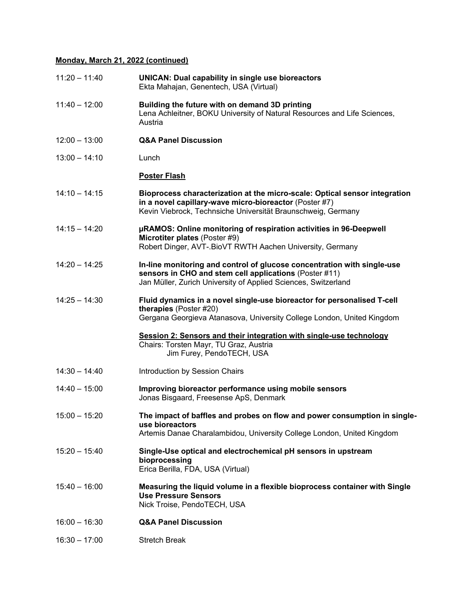### **Monday, March 21, 2022 (continued)**

| $11:20 - 11:40$ | <b>UNICAN: Dual capability in single use bioreactors</b><br>Ekta Mahajan, Genentech, USA (Virtual)                                                                                                   |
|-----------------|------------------------------------------------------------------------------------------------------------------------------------------------------------------------------------------------------|
| $11:40 - 12:00$ | Building the future with on demand 3D printing<br>Lena Achleitner, BOKU University of Natural Resources and Life Sciences,<br>Austria                                                                |
| $12:00 - 13:00$ | <b>Q&amp;A Panel Discussion</b>                                                                                                                                                                      |
| $13:00 - 14:10$ | Lunch                                                                                                                                                                                                |
|                 | <b>Poster Flash</b>                                                                                                                                                                                  |
| $14:10 - 14:15$ | Bioprocess characterization at the micro-scale: Optical sensor integration<br>in a novel capillary-wave micro-bioreactor (Poster #7)<br>Kevin Viebrock, Technsiche Universität Braunschweig, Germany |
| $14:15 - 14:20$ | µRAMOS: Online monitoring of respiration activities in 96-Deepwell<br>Microtiter plates (Poster #9)<br>Robert Dinger, AVT-. BioVT RWTH Aachen University, Germany                                    |
| $14:20 - 14:25$ | In-line monitoring and control of glucose concentration with single-use<br>sensors in CHO and stem cell applications (Poster #11)<br>Jan Müller, Zurich University of Applied Sciences, Switzerland  |
| $14:25 - 14:30$ | Fluid dynamics in a novel single-use bioreactor for personalised T-cell<br>therapies (Poster #20)<br>Gergana Georgieva Atanasova, University College London, United Kingdom                          |
|                 | Session 2: Sensors and their integration with single-use technology<br>Chairs: Torsten Mayr, TU Graz, Austria<br>Jim Furey, PendoTECH, USA                                                           |
| $14:30 - 14:40$ | Introduction by Session Chairs                                                                                                                                                                       |
| $14:40 - 15:00$ | Improving bioreactor performance using mobile sensors<br>Jonas Bisgaard, Freesense ApS, Denmark                                                                                                      |
| $15:00 - 15:20$ | The impact of baffles and probes on flow and power consumption in single-<br>use bioreactors<br>Artemis Danae Charalambidou, University College London, United Kingdom                               |
| $15:20 - 15:40$ | Single-Use optical and electrochemical pH sensors in upstream<br>bioprocessing<br>Erica Berilla, FDA, USA (Virtual)                                                                                  |
| $15:40 - 16:00$ | Measuring the liquid volume in a flexible bioprocess container with Single<br><b>Use Pressure Sensors</b><br>Nick Troise, PendoTECH, USA                                                             |
| $16:00 - 16:30$ | <b>Q&amp;A Panel Discussion</b>                                                                                                                                                                      |
| $16:30 - 17:00$ | <b>Stretch Break</b>                                                                                                                                                                                 |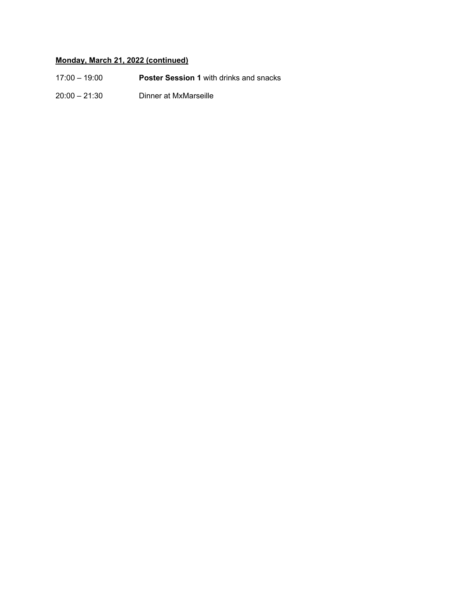### **Monday, March 21, 2022 (continued)**

| $17:00 - 19:00$ | <b>Poster Session 1 with drinks and snacks</b> |
|-----------------|------------------------------------------------|
| $20:00 - 21:30$ | Dinner at MxMarseille                          |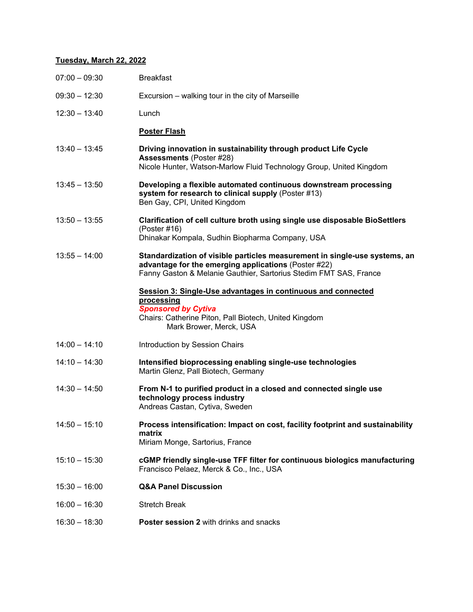### **Tuesday, March 22, 2022**

| $07:00 - 09:30$ | <b>Breakfast</b>                                                                                                                                                                                        |
|-----------------|---------------------------------------------------------------------------------------------------------------------------------------------------------------------------------------------------------|
| $09:30 - 12:30$ | Excursion – walking tour in the city of Marseille                                                                                                                                                       |
| $12:30 - 13:40$ | Lunch                                                                                                                                                                                                   |
|                 | <b>Poster Flash</b>                                                                                                                                                                                     |
| $13:40 - 13:45$ | Driving innovation in sustainability through product Life Cycle<br><b>Assessments (Poster #28)</b><br>Nicole Hunter, Watson-Marlow Fluid Technology Group, United Kingdom                               |
| $13:45 - 13:50$ | Developing a flexible automated continuous downstream processing<br>system for research to clinical supply (Poster #13)<br>Ben Gay, CPI, United Kingdom                                                 |
| $13:50 - 13:55$ | Clarification of cell culture broth using single use disposable BioSettlers<br>(Poster $#16$ )<br>Dhinakar Kompala, Sudhin Biopharma Company, USA                                                       |
| $13:55 - 14:00$ | Standardization of visible particles measurement in single-use systems, an<br>advantage for the emerging applications (Poster #22)<br>Fanny Gaston & Melanie Gauthier, Sartorius Stedim FMT SAS, France |
|                 | <b>Session 3: Single-Use advantages in continuous and connected</b><br>processing<br><b>Sponsored by Cytiva</b><br>Chairs: Catherine Piton, Pall Biotech, United Kingdom<br>Mark Brower, Merck, USA     |
| $14:00 - 14:10$ | Introduction by Session Chairs                                                                                                                                                                          |
| $14:10 - 14:30$ | Intensified bioprocessing enabling single-use technologies<br>Martin Glenz, Pall Biotech, Germany                                                                                                       |
| $14:30 - 14:50$ | From N-1 to purified product in a closed and connected single use<br>technology process industry<br>Andreas Castan, Cytiva, Sweden                                                                      |
| $14:50 - 15:10$ | Process intensification: Impact on cost, facility footprint and sustainability<br>matrix<br>Miriam Monge, Sartorius, France                                                                             |
| $15:10 - 15:30$ | cGMP friendly single-use TFF filter for continuous biologics manufacturing<br>Francisco Pelaez, Merck & Co., Inc., USA                                                                                  |
| $15:30 - 16:00$ | <b>Q&amp;A Panel Discussion</b>                                                                                                                                                                         |
| $16:00 - 16:30$ | <b>Stretch Break</b>                                                                                                                                                                                    |
| $16:30 - 18:30$ | Poster session 2 with drinks and snacks                                                                                                                                                                 |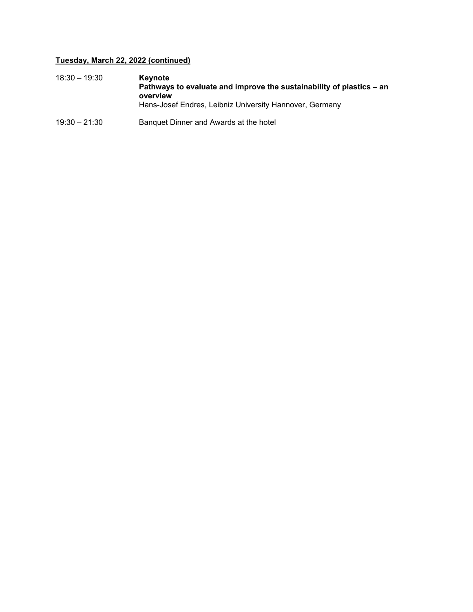### **Tuesday, March 22, 2022 (continued)**

| $18:30 - 19:30$ | <b>Kevnote</b><br>Pathways to evaluate and improve the sustainability of plastics – an<br>overview |
|-----------------|----------------------------------------------------------------------------------------------------|
|                 | Hans-Josef Endres, Leibniz University Hannover, Germany                                            |
| $19:30 - 21:30$ | Banquet Dinner and Awards at the hotel                                                             |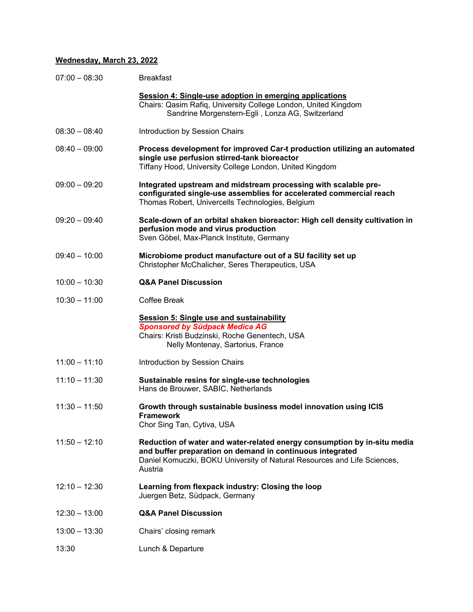### **Wednesday, March 23, 2022**

| $07:00 - 08:30$ | <b>Breakfast</b>                                                                                                                                                                                                             |
|-----------------|------------------------------------------------------------------------------------------------------------------------------------------------------------------------------------------------------------------------------|
|                 | Session 4: Single-use adoption in emerging applications<br>Chairs: Qasim Rafiq, University College London, United Kingdom<br>Sandrine Morgenstern-Egli, Lonza AG, Switzerland                                                |
| $08:30 - 08:40$ | Introduction by Session Chairs                                                                                                                                                                                               |
| $08:40 - 09:00$ | Process development for improved Car-t production utilizing an automated<br>single use perfusion stirred-tank bioreactor<br>Tiffany Hood, University College London, United Kingdom                                          |
| $09:00 - 09:20$ | Integrated upstream and midstream processing with scalable pre-<br>configurated single-use assemblies for accelerated commercial reach<br>Thomas Robert, Univercells Technologies, Belgium                                   |
| $09:20 - 09:40$ | Scale-down of an orbital shaken bioreactor: High cell density cultivation in<br>perfusion mode and virus production<br>Sven Göbel, Max-Planck Institute, Germany                                                             |
| $09:40 - 10:00$ | Microbiome product manufacture out of a SU facility set up<br>Christopher McChalicher, Seres Therapeutics, USA                                                                                                               |
| $10:00 - 10:30$ | <b>Q&amp;A Panel Discussion</b>                                                                                                                                                                                              |
| $10:30 - 11:00$ | Coffee Break                                                                                                                                                                                                                 |
|                 | <b>Session 5: Single use and sustainability</b><br><b>Sponsored by Südpack Medica AG</b><br>Chairs: Kristi Budzinski, Roche Genentech, USA<br>Nelly Montenay, Sartorius, France                                              |
| $11:00 - 11:10$ | Introduction by Session Chairs                                                                                                                                                                                               |
| $11:10 - 11:30$ | Sustainable resins for single-use technologies<br>Hans de Brouwer, SABIC, Netherlands                                                                                                                                        |
| $11:30 - 11:50$ | Growth through sustainable business model innovation using ICIS<br><b>Framework</b><br>Chor Sing Tan, Cytiva, USA                                                                                                            |
| $11:50 - 12:10$ | Reduction of water and water-related energy consumption by in-situ media<br>and buffer preparation on demand in continuous integrated<br>Daniel Komuczki, BOKU University of Natural Resources and Life Sciences,<br>Austria |
| $12:10 - 12:30$ | Learning from flexpack industry: Closing the loop<br>Juergen Betz, Südpack, Germany                                                                                                                                          |
| $12:30 - 13:00$ | <b>Q&amp;A Panel Discussion</b>                                                                                                                                                                                              |
| $13:00 - 13:30$ | Chairs' closing remark                                                                                                                                                                                                       |
| 13:30           | Lunch & Departure                                                                                                                                                                                                            |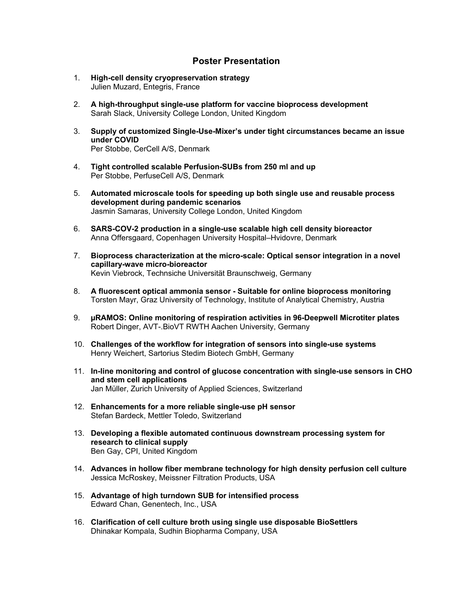### **Poster Presentation**

- 1. **High-cell density cryopreservation strategy**  Julien Muzard, Entegris, France
- 2. **A high-throughput single-use platform for vaccine bioprocess development**  Sarah Slack, University College London, United Kingdom
- 3. **Supply of customized Single-Use-Mixer's under tight circumstances became an issue under COVID**  Per Stobbe, CerCell A/S, Denmark
- 4. **Tight controlled scalable Perfusion-SUBs from 250 ml and up**  Per Stobbe, PerfuseCell A/S, Denmark
- 5. **Automated microscale tools for speeding up both single use and reusable process development during pandemic scenarios**  Jasmin Samaras, University College London, United Kingdom
- 6. **SARS-COV-2 production in a single-use scalable high cell density bioreactor**  Anna Offersgaard, Copenhagen University Hospital–Hvidovre, Denmark
- 7. **Bioprocess characterization at the micro-scale: Optical sensor integration in a novel capillary-wave micro-bioreactor**  Kevin Viebrock, Technsiche Universität Braunschweig, Germany
- 8. **A fluorescent optical ammonia sensor Suitable for online bioprocess monitoring**  Torsten Mayr, Graz University of Technology, Institute of Analytical Chemistry, Austria
- 9. **µRAMOS: Online monitoring of respiration activities in 96-Deepwell Microtiter plates**  Robert Dinger, AVT-.BioVT RWTH Aachen University, Germany
- 10. **Challenges of the workflow for integration of sensors into single-use systems**  Henry Weichert, Sartorius Stedim Biotech GmbH, Germany
- 11. **In-line monitoring and control of glucose concentration with single-use sensors in CHO and stem cell applications**  Jan Müller, Zurich University of Applied Sciences, Switzerland
- 12. **Enhancements for a more reliable single-use pH sensor**  Stefan Bardeck, Mettler Toledo, Switzerland
- 13. **Developing a flexible automated continuous downstream processing system for research to clinical supply**  Ben Gay, CPI, United Kingdom
- 14. **Advances in hollow fiber membrane technology for high density perfusion cell culture**  Jessica McRoskey, Meissner Filtration Products, USA
- 15. **Advantage of high turndown SUB for intensified process**  Edward Chan, Genentech, Inc., USA
- 16. **Clarification of cell culture broth using single use disposable BioSettlers**  Dhinakar Kompala, Sudhin Biopharma Company, USA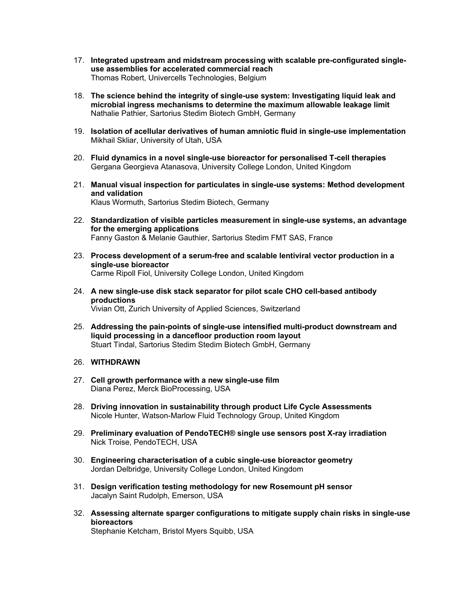- 17. **Integrated upstream and midstream processing with scalable pre-configurated singleuse assemblies for accelerated commercial reach**  Thomas Robert, Univercells Technologies, Belgium
- 18. **The science behind the integrity of single-use system: Investigating liquid leak and microbial ingress mechanisms to determine the maximum allowable leakage limit**  Nathalie Pathier, Sartorius Stedim Biotech GmbH, Germany
- 19. **Isolation of acellular derivatives of human amniotic fluid in single-use implementation**  Mikhail Skliar, University of Utah, USA
- 20. **Fluid dynamics in a novel single-use bioreactor for personalised T-cell therapies**  Gergana Georgieva Atanasova, University College London, United Kingdom
- 21. **Manual visual inspection for particulates in single-use systems: Method development and validation**  Klaus Wormuth, Sartorius Stedim Biotech, Germany
- 22. **Standardization of visible particles measurement in single-use systems, an advantage for the emerging applications**  Fanny Gaston & Melanie Gauthier, Sartorius Stedim FMT SAS, France
- 23. **Process development of a serum-free and scalable lentiviral vector production in a single-use bioreactor**  Carme Ripoll Fiol, University College London, United Kingdom
- 24. **A new single-use disk stack separator for pilot scale CHO cell-based antibody productions**  Vivian Ott, Zurich University of Applied Sciences, Switzerland
- 25. **Addressing the pain-points of single-use intensified multi-product downstream and liquid processing in a dancefloor production room layout**  Stuart Tindal, Sartorius Stedim Stedim Biotech GmbH, Germany
- 26. **WITHDRAWN**
- 27. **Cell growth performance with a new single-use film**  Diana Perez, Merck BioProcessing, USA
- 28. **Driving innovation in sustainability through product Life Cycle Assessments**  Nicole Hunter, Watson-Marlow Fluid Technology Group, United Kingdom
- 29. **Preliminary evaluation of PendoTECH® single use sensors post X-ray irradiation**  Nick Troise, PendoTECH, USA
- 30. **Engineering characterisation of a cubic single-use bioreactor geometry**  Jordan Delbridge, University College London, United Kingdom
- 31. **Design verification testing methodology for new Rosemount pH sensor**  Jacalyn Saint Rudolph, Emerson, USA
- 32. **Assessing alternate sparger configurations to mitigate supply chain risks in single-use bioreactors**

Stephanie Ketcham, Bristol Myers Squibb, USA